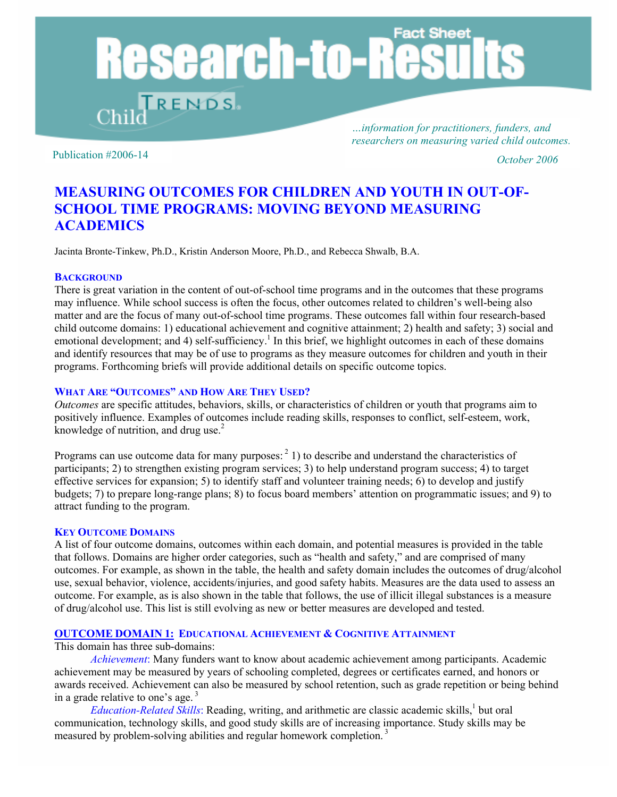# **Fact Sheet Research-to-Re** RENDS

*…information for practitioners, funders, and researchers on measuring varied child outcomes.* 

Publication #2006-14 *October 2006* 

## **MEASURING OUTCOMES FOR CHILDREN AND YOUTH IN OUT-OF-SCHOOL TIME PROGRAMS: MOVING BEYOND MEASURING ACADEMICS**

Jacinta Bronte-Tinkew, Ph.D., Kristin Anderson Moore, Ph.D., and Rebecca Shwalb, B.A.

#### **BACKGROUND**

There is great variation in the content of out-of-school time programs and in the outcomes that these programs may influence. While school success is often the focus, other outcomes related to children's well-being also matter and are the focus of many out-of-school time programs. These outcomes fall within four research-based child outcome domains: 1) educational achievement and cognitive attainment; 2) health and safety; 3) social and emotional development; and 4) self-sufficiency.<sup>1</sup> In this brief, we highlight outcomes in each of these domains and identify resources that may be of use to programs as they measure outcomes for children and youth in their programs. Forthcoming briefs will provide additional details on specific outcome topics.

#### **WHAT ARE "OUTCOMES" AND HOW ARE THEY USED?**

*Outcomes* are specific attitudes, behaviors, skills, or characteristics of children or youth that programs aim to positively influence. Examples of outcomes include reading skills, responses to conflict, self-esteem, work, knowledge of nutrition, and drug use. $2$ 

Programs can use outcome data for many purposes:  $2/2$  to describe and understand the characteristics of participants; 2) to strengthen existing program services; 3) to help understand program success; 4) to target effective services for expansion; 5) to identify staff and volunteer training needs; 6) to develop and justify budgets; 7) to prepare long-range plans; 8) to focus board members' attention on programmatic issues; and 9) to attract funding to the program.

#### **KEY OUTCOME DOMAINS**

A list of four outcome domains, outcomes within each domain, and potential measures is provided in the table that follows. Domains are higher order categories, such as "health and safety," and are comprised of many outcomes. For example, as shown in the table, the health and safety domain includes the outcomes of drug/alcohol use, sexual behavior, violence, accidents/injuries, and good safety habits. Measures are the data used to assess an outcome. For example, as is also shown in the table that follows, the use of illicit illegal substances is a measure of drug/alcohol use. This list is still evolving as new or better measures are developed and tested.

#### **OUTCOME DOMAIN 1: EDUCATIONAL ACHIEVEMENT & COGNITIVE ATTAINMENT**

This domain has three sub-domains:

*Achievement*: Many funders want to know about academic achievement among participants. Academic achievement may be measured by years of schooling completed, degrees or certificates earned, and honors or awards received. Achievement can also be measured by school retention, such as grade repetition or being behind in a grade relative to one's age.  $3$ 

Education-Related Skills: Reading, writing, and arithmetic are classic academic skills,<sup>1</sup> but oral communication, technology skills, and good study skills are of increasing importance. Study skills may be measured by problem-solving abilities and regular homework completion. 3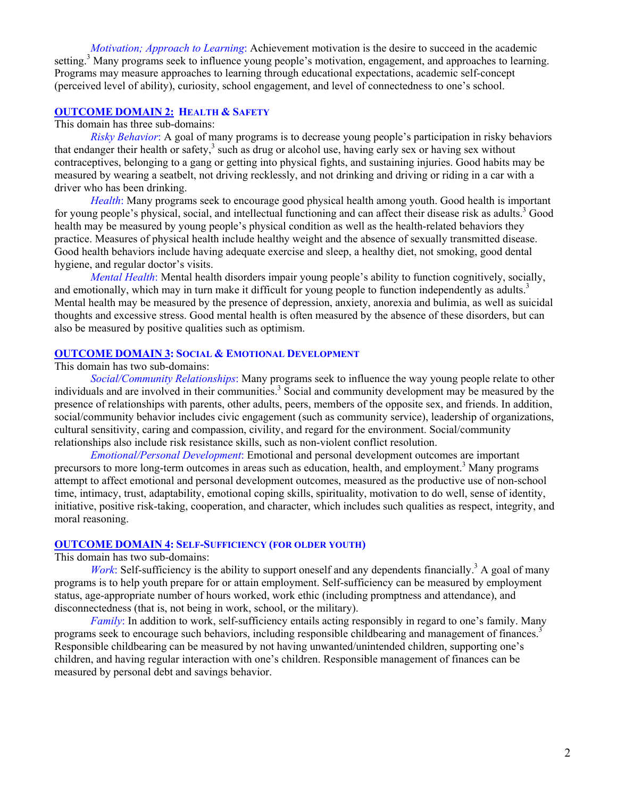*Motivation; Approach to Learning*: Achievement motivation is the desire to succeed in the academic setting.<sup>3</sup> Many programs seek to influence young people's motivation, engagement, and approaches to learning. Programs may measure approaches to learning through educational expectations, academic self-concept (perceived level of ability), curiosity, school engagement, and level of connectedness to one's school.

#### **OUTCOME DOMAIN 2: HEALTH & SAFETY**

#### This domain has three sub-domains:

*Risky Behavior*: A goal of many programs is to decrease young people's participation in risky behaviors that endanger their health or safety,<sup>3</sup> such as drug or alcohol use, having early sex or having sex without contraceptives, belonging to a gang or getting into physical fights, and sustaining injuries. Good habits may be measured by wearing a seatbelt, not driving recklessly, and not drinking and driving or riding in a car with a driver who has been drinking.

*Health*: Many programs seek to encourage good physical health among youth. Good health is important for young people's physical, social, and intellectual functioning and can affect their disease risk as adults.<sup>3</sup> Good health may be measured by young people's physical condition as well as the health-related behaviors they practice. Measures of physical health include healthy weight and the absence of sexually transmitted disease. Good health behaviors include having adequate exercise and sleep, a healthy diet, not smoking, good dental hygiene, and regular doctor's visits.

*Mental Health*: Mental health disorders impair young people's ability to function cognitively, socially, and emotionally, which may in turn make it difficult for young people to function independently as adults.<sup>3</sup> Mental health may be measured by the presence of depression, anxiety, anorexia and bulimia, as well as suicidal thoughts and excessive stress. Good mental health is often measured by the absence of these disorders, but can also be measured by positive qualities such as optimism.

#### **OUTCOME DOMAIN 3: SOCIAL & EMOTIONAL DEVELOPMENT**

#### This domain has two sub-domains:

*Social/Community Relationships*: Many programs seek to influence the way young people relate to other individuals and are involved in their communities.<sup>3</sup> Social and community development may be measured by the presence of relationships with parents, other adults, peers, members of the opposite sex, and friends. In addition, social/community behavior includes civic engagement (such as community service), leadership of organizations, cultural sensitivity, caring and compassion, civility, and regard for the environment. Social/community relationships also include risk resistance skills, such as non-violent conflict resolution.

*Emotional/Personal Development*: Emotional and personal development outcomes are important precursors to more long-term outcomes in areas such as education, health, and employment.<sup>3</sup> Many programs attempt to affect emotional and personal development outcomes, measured as the productive use of non-school time, intimacy, trust, adaptability, emotional coping skills, spirituality, motivation to do well, sense of identity, initiative, positive risk-taking, cooperation, and character, which includes such qualities as respect, integrity, and moral reasoning.

#### **OUTCOME DOMAIN 4: SELF-SUFFICIENCY (FOR OLDER YOUTH)**

This domain has two sub-domains:

*Work*: Self-sufficiency is the ability to support oneself and any dependents financially.<sup>3</sup> A goal of many programs is to help youth prepare for or attain employment. Self-sufficiency can be measured by employment status, age-appropriate number of hours worked, work ethic (including promptness and attendance), and disconnectedness (that is, not being in work, school, or the military).

*Family*: In addition to work, self-sufficiency entails acting responsibly in regard to one's family. Many programs seek to encourage such behaviors, including responsible childbearing and management of finances.<sup>3</sup> Responsible childbearing can be measured by not having unwanted/unintended children, supporting one's children, and having regular interaction with one's children. Responsible management of finances can be measured by personal debt and savings behavior.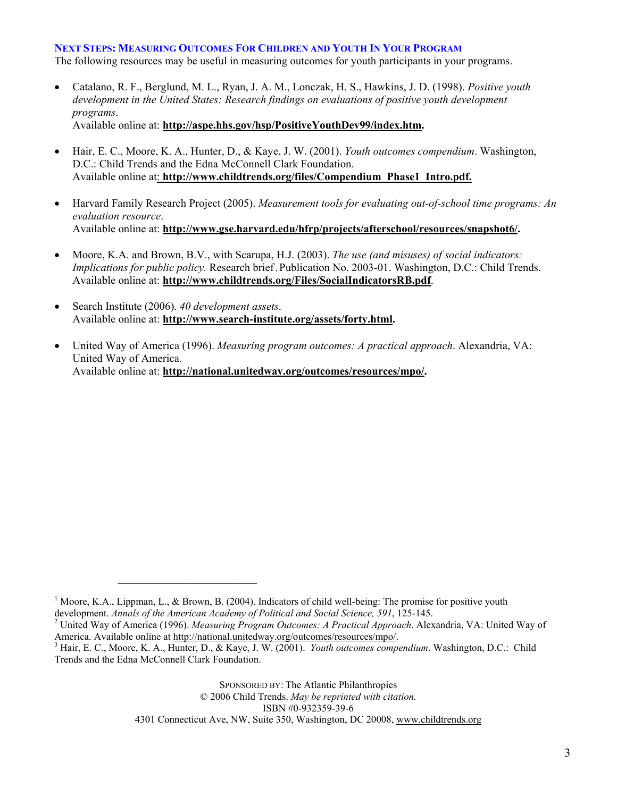#### **NEXT STEPS: MEASURING OUTCOMES FOR CHILDREN AND YOUTH IN YOUR PROGRAM**

The following resources may be useful in measuring outcomes for youth participants in your programs.

- Catalano, R. F., Berglund, M. L., Ryan, J. A. M., Lonczak, H. S., Hawkins, J. D. (1998). *Positive youth development in the United States: Research findings on evaluations of positive youth development programs*. Available online at: **http://aspe.hhs.gov/hsp/PositiveYouthDev99/index.htm.**
- Hair, E. C., Moore, K. A., Hunter, D., & Kaye, J. W. (2001). *Youth outcomes compendium*. Washington, D.C.: Child Trends and the Edna McConnell Clark Foundation. Available online at: **http://www.childtrends.org/files/Compendium\_Phase1\_Intro.pdf.**
- Harvard Family Research Project (2005). *Measurement tools for evaluating out-of-school time programs: An evaluation resource*. Available online at: **http://www.gse.harvard.edu/hfrp/projects/afterschool/resources/snapshot6/.**
- Moore, K.A. and Brown, B.V., with Scarupa, H.J. (2003). *The use (and misuses) of social indicators: Implications for public policy.* Research brief, Publication No. 2003-01. Washington, D.C.: Child Trends. Available online at: **http://www.childtrends.org/Files/SocialIndicatorsRB.pdf**.
- Search Institute (2006). *40 development assets*. Available online at: **http://www.search-institute.org/assets/forty.html.**

 $\mathcal{L}_\text{max}$  and  $\mathcal{L}_\text{max}$  and  $\mathcal{L}_\text{max}$  and  $\mathcal{L}_\text{max}$ 

• United Way of America (1996). *Measuring program outcomes: A practical approach*. Alexandria, VA: United Way of America. Available online at: **http://national.unitedway.org/outcomes/resources/mpo/.** 

SPONSORED BY: The Atlantic Philanthropies © 2006 Child Trends. *May be reprinted with citation.*  ISBN #0-932359-39-6 4301 Connecticut Ave, NW, Suite 350, Washington, DC 20008, www.childtrends.org

<sup>&</sup>lt;sup>1</sup> Moore, K.A., Lippman, L., & Brown, B. (2004). Indicators of child well-being: The promise for positive youth development. *Annals of the American Academy of Political and Social Science, 591*, 125-145. 2

United Way of America (1996). *Measuring Program Outcomes: A Practical Approach*. Alexandria, VA: United Way of America. Available online at http://national.unitedway.org/outcomes/resources/mpo/. <sup>3</sup>

<sup>&</sup>lt;sup>3</sup> Hair, E. C., Moore, K. A., Hunter, D., & Kaye, J. W. (2001). *Youth outcomes compendium*. Washington, D.C.: Child Trends and the Edna McConnell Clark Foundation.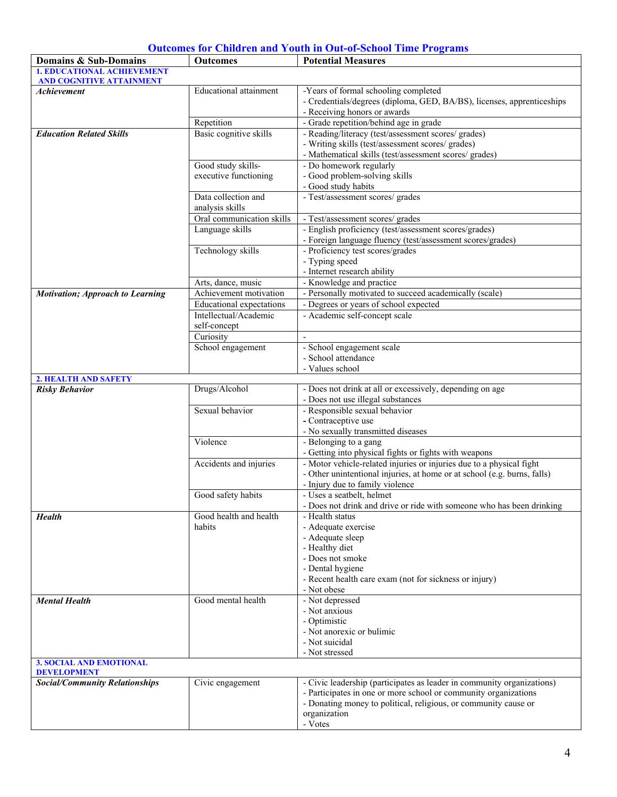### **Outcomes for Children and Youth in Out-of-School Time Programs**

| Domains & Sub-Domains                                                | <b>Outcomes</b>                             | <b>Potential Measures</b>                                                                                                                                                                                                               |
|----------------------------------------------------------------------|---------------------------------------------|-----------------------------------------------------------------------------------------------------------------------------------------------------------------------------------------------------------------------------------------|
| <b>1. EDUCATIONAL ACHIEVEMENT</b><br><b>AND COGNITIVE ATTAINMENT</b> |                                             |                                                                                                                                                                                                                                         |
| <b>Achievement</b>                                                   | <b>Educational attainment</b>               | -Years of formal schooling completed<br>- Credentials/degrees (diploma, GED, BA/BS), licenses, apprenticeships<br>- Receiving honors or awards                                                                                          |
|                                                                      | Repetition                                  | - Grade repetition/behind age in grade                                                                                                                                                                                                  |
| <b>Education Related Skills</b>                                      | Basic cognitive skills                      | - Reading/literacy (test/assessment scores/ grades)<br>- Writing skills (test/assessment scores/ grades)<br>- Mathematical skills (test/assessment scores/ grades)                                                                      |
|                                                                      | Good study skills-<br>executive functioning | - Do homework regularly<br>- Good problem-solving skills<br>- Good study habits                                                                                                                                                         |
|                                                                      | Data collection and<br>analysis skills      | - Test/assessment scores/ grades                                                                                                                                                                                                        |
|                                                                      | Oral communication skills                   | - Test/assessment scores/ grades                                                                                                                                                                                                        |
|                                                                      | Language skills                             | - English proficiency (test/assessment scores/grades)<br>- Foreign language fluency (test/assessment scores/grades)                                                                                                                     |
|                                                                      | Technology skills                           | - Proficiency test scores/grades<br>- Typing speed                                                                                                                                                                                      |
|                                                                      |                                             | - Internet research ability                                                                                                                                                                                                             |
|                                                                      | Arts, dance, music                          | - Knowledge and practice                                                                                                                                                                                                                |
| <b>Motivation; Approach to Learning</b>                              | Achievement motivation                      | - Personally motivated to succeed academically (scale)                                                                                                                                                                                  |
|                                                                      | <b>Educational</b> expectations             | - Degrees or years of school expected                                                                                                                                                                                                   |
|                                                                      | Intellectual/Academic<br>self-concept       | - Academic self-concept scale                                                                                                                                                                                                           |
|                                                                      | Curiosity                                   | $\sim$                                                                                                                                                                                                                                  |
|                                                                      | School engagement                           | - School engagement scale<br>- School attendance                                                                                                                                                                                        |
|                                                                      |                                             | - Values school                                                                                                                                                                                                                         |
| 2. HEALTH AND SAFETY                                                 |                                             |                                                                                                                                                                                                                                         |
| <b>Risky Behavior</b>                                                | Drugs/Alcohol                               | - Does not drink at all or excessively, depending on age<br>- Does not use illegal substances                                                                                                                                           |
|                                                                      | Sexual behavior                             | - Responsible sexual behavior<br>- Contraceptive use<br>- No sexually transmitted diseases                                                                                                                                              |
|                                                                      | Violence                                    | - Belonging to a gang<br>- Getting into physical fights or fights with weapons                                                                                                                                                          |
|                                                                      | Accidents and injuries                      | - Motor vehicle-related injuries or injuries due to a physical fight<br>- Other unintentional injuries, at home or at school (e.g. burns, falls)<br>- Injury due to family violence                                                     |
|                                                                      | Good safety habits                          | - Uses a seatbelt, helmet<br>- Does not drink and drive or ride with someone who has been drinking                                                                                                                                      |
| <b>Health</b>                                                        | Good health and health<br>habits            | - Health status<br>- Adequate exercise<br>- Adequate sleep<br>- Healthy diet<br>- Does not smoke<br>- Dental hygiene<br>- Recent health care exam (not for sickness or injury)<br>- Not obese                                           |
| <b>Mental Health</b>                                                 | Good mental health                          | - Not depressed<br>- Not anxious<br>- Optimistic<br>- Not anorexic or bulimic<br>- Not suicidal<br>- Not stressed                                                                                                                       |
| <b>3. SOCIAL AND EMOTIONAL</b><br><b>DEVELOPMENT</b>                 |                                             |                                                                                                                                                                                                                                         |
| <b>Social/Community Relationships</b>                                | Civic engagement                            | - Civic leadership (participates as leader in community organizations)<br>- Participates in one or more school or community organizations<br>- Donating money to political, religious, or community cause or<br>organization<br>- Votes |